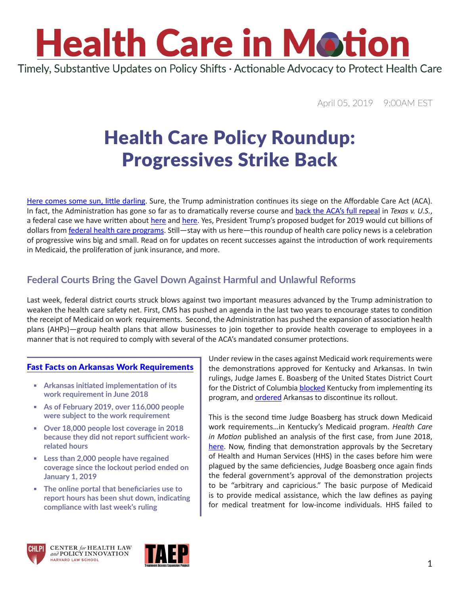

Timely, Substantive Updates on Policy Shifts · Actionable Advocacy to Protect Health Care

April 05, 2019 9:00AM EST

### Health Care Policy Roundup: Progressives Strike Back

[Here comes some sun, little darling](https://www.youtube.com/watch?v=tQpEJCB5aqM). Sure, the Trump administration continues its siege on the Affordable Care Act (ACA). In fact, the Administration has gone so far as to dramatically reverse course and [back the ACA's full repeal](https://www.nytimes.com/2019/03/27/us/politics/trump-aca.html) in *Texas v. U.S.*, a federal case we have written about [here](https://www.chlpi.org/wp-content/uploads/2013/12/HCIM_09_28_2018.pdf) and here. Yes, President Trump's proposed budget for 2019 would cut billions of dollars from [federal health care programs](https://www.cnbc.com/2019/03/12/trump-2020-budget-proposes-reduced-medicare-and-medicaid-spending.html). Still—stay with us here—this roundup of health care policy news is a celebration of progressive wins big and small. Read on for updates on recent successes against the introduction of work requirements in Medicaid, the proliferation of junk insurance, and more.

### **Federal Courts Bring the Gavel Down Against Harmful and Unlawful Reforms**

Last week, federal district courts struck blows against two important measures advanced by the Trump administration to weaken the health care safety net. First, CMS has pushed an agenda in the last two years to encourage states to condition the receipt of Medicaid on work requirements. Second, the Administration has pushed the expansion of association health plans (AHPs)—group health plans that allow businesses to join together to provide health coverage to employees in a manner that is not required to comply with several of the ACA's mandated consumer protections.

#### [Fast Facts on Arkansas Work Requirements](https://www.arktimes.com/arkansas/hutchinson-pushes-for-continuation-of-medicaid-expansion-despite-judge-blocking-work-requirement/Content?oid=28999680)

- **▪ Arkansas initiated implementation of its work requirement in June 2018**
- **▪ As of February 2019, over 116,000 people were subject to the work requirement**
- **▪ Over 18,000 people lost coverage in 2018 because they did not report sufficient workrelated hours**
- **▪ Less than 2,000 people have regained coverage since the lockout period ended on January 1, 2019**
- **▪ The online portal that beneficiaries use to report hours has been shut down, indicating compliance with last week's ruling**

Under review in the cases against Medicaid work requirements were the demonstrations approved for Kentucky and Arkansas. In twin rulings, Judge James E. Boasberg of the United States District Court for the District of Columbia **blocked** Kentucky from implementing its program, and [ordered](https://www.arktimes.com/media/pdf/gresham_order.pdf) Arkansas to discontinue its rollout.

This is the second time Judge Boasberg has struck down Medicaid work requirements…in Kentucky's Medicaid program. *Health Care in Motion* published an analysis of the first case, from June 2018, [here](https://www.chlpi.org/wp-content/uploads/2013/12/HCIM_07_02_2018.pdf). Now, finding that demonstration approvals by the Secretary of Health and Human Services (HHS) in the cases before him were plagued by the same deficiencies, Judge Boasberg once again finds the federal government's approval of the demonstration projects to be "arbitrary and capricious." The basic purpose of Medicaid is to provide medical assistance, which the law defines as paying for medical treatment for low-income individuals. HHS failed to





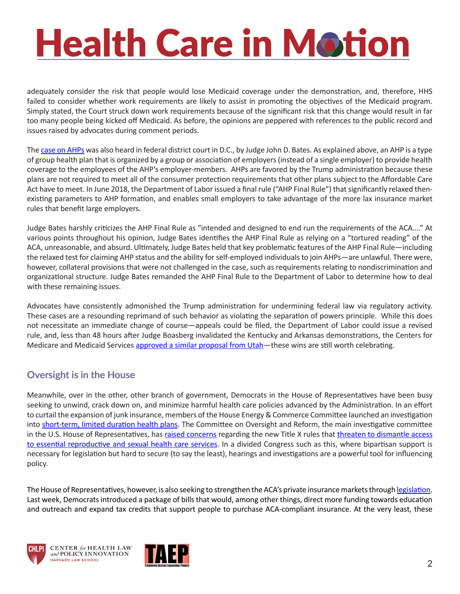# **Health Care in Motion**

adequately consider the risk that people would lose Medicaid coverage under the demonstration, and, therefore, HHS failed to consider whether work requirements are likely to assist in promoting the objectives of the Medicaid program. Simply stated, the Court struck down work requirements because of the significant risk that this change would result in far too many people being kicked off Medicaid. As before, the opinions are peppered with references to the public record and issues raised by advocates during comment periods.

The [case on AHPs](https://ecf.dcd.uscourts.gov/cgi-bin/show_public_doc?2018cv1747-79) was also heard in federal district court in D.C., by Judge John D. Bates. As explained above, an AHP is a type of group health plan that is organized by a group or association of employers (instead of a single employer) to provide health coverage to the employees of the AHP's employer-members. AHPs are favored by the Trump administration because these plans are not required to meet all of the consumer protection requirements that other plans subject to the Affordable Care Act have to meet. In June 2018, the Department of Labor issued a final rule ("AHP Final Rule") that significantly relaxed thenexisting parameters to AHP formation, and enables small employers to take advantage of the more lax insurance market rules that benefit large employers.

Judge Bates harshly criticizes the AHP Final Rule as "intended and designed to end run the requirements of the ACA…." At various points throughout his opinion, Judge Bates identifies the AHP Final Rule as relying on a "tortured reading" of the ACA, unreasonable, and absurd. Ultimately, Judge Bates held that key problematic features of the AHP Final Rule—including the relaxed test for claiming AHP status and the ability for self-employed individuals to join AHPs—are unlawful. There were, however, collateral provisions that were not challenged in the case, such as requirements relating to nondiscrimination and organizational structure. Judge Bates remanded the AHP Final Rule to the Department of Labor to determine how to deal with these remaining issues.

Advocates have consistently admonished the Trump administration for undermining federal law via regulatory activity. These cases are a resounding reprimand of such behavior as violating the separation of powers principle. While this does not necessitate an immediate change of course—appeals could be filed, the Department of Labor could issue a revised rule, and, less than 48 hours after Judge Boasberg invalidated the Kentucky and Arkansas demonstrations, the Centers for Medicare and Medicaid Services [approved a similar proposal from Utah—](https://www.medicaid.gov/Medicaid-CHIP-Program-Information/By-Topics/Waivers/1115/downloads/ut/ut-primary-care-network-ca.pdf)these wins are still worth celebrating.

#### **Oversight is in the House**

Meanwhile, over in the other, other branch of government, Democrats in the House of Representatives have been busy seeking to unwind, crack down on, and minimize harmful health care policies advanced by the Administration. In an effort to curtail the expansion of junk insurance, members of the House Energy & Commerce Committee launched an investigation into [short-term, limited duration health plans.](https://www.chlpi.org/wp-content/uploads/2013/12/Short-term-Plans-vs-ACA.pdf) The Committee on Oversight and Reform, the main investigative committee in the U.S. House of Representatives, has [raised concerns](https://oversight.house.gov/news/press-releases/cummings-issues-statement-on-trump-administration-rule-to-dismantle-the-title-x) regarding the new Title X rules that [threaten to dismantle access](https://www.chlpi.org/wp-content/uploads/2013/12/HCIM_3_06_2019.pdf)  [to essential reproductive and sexual health care services](https://www.chlpi.org/wp-content/uploads/2013/12/HCIM_3_06_2019.pdf). In a divided Congress such as this, where bipartisan support is necessary for legislation but hard to secure (to say the least), hearings and investigations are a powerful tool for influencing policy.

The House of Representatives, however, is also seeking to strengthen the ACA's private insurance markets through [legislation](https://www.vox.com/policy-and-politics/2019/3/26/18282103/aca-obamacare-news-house-democrats-legislation-doj). Last week, Democrats introduced a package of bills that would, among other things, direct more funding towards education and outreach and expand tax credits that support people to purchase ACA-compliant insurance. At the very least, these